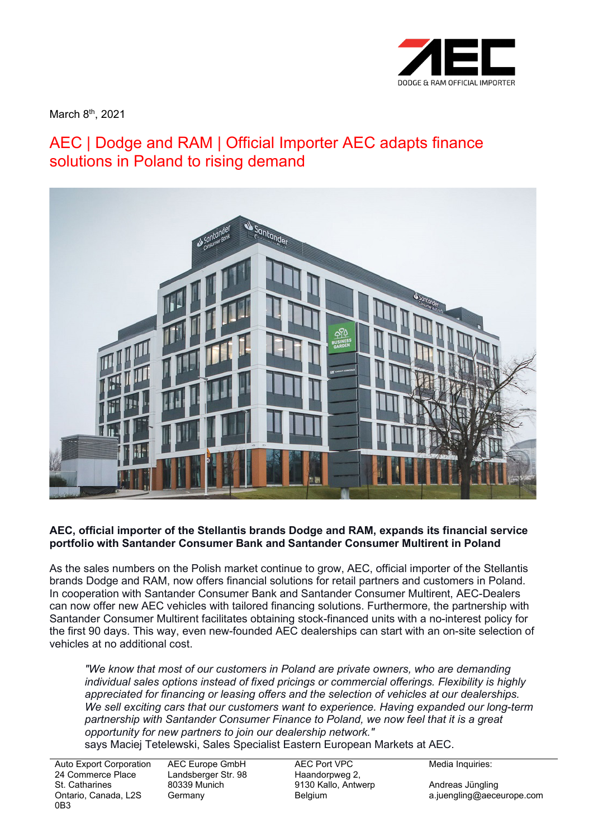

March 8<sup>th</sup>, 2021

## AEC | Dodge and RAM | Official Importer AEC adapts finance solutions in Poland to rising demand



## **AEC, official importer of the Stellantis brands Dodge and RAM, expands its financial service portfolio with Santander Consumer Bank and Santander Consumer Multirent in Poland**

As the sales numbers on the Polish market continue to grow, AEC, official importer of the Stellantis brands Dodge and RAM, now offers financial solutions for retail partners and customers in Poland. In cooperation with Santander Consumer Bank and Santander Consumer Multirent, AEC-Dealers can now offer new AEC vehicles with tailored financing solutions. Furthermore, the partnership with Santander Consumer Multirent facilitates obtaining stock-financed units with a no-interest policy for the first 90 days. This way, even new-founded AEC dealerships can start with an on-site selection of vehicles at no additional cost.

*"We know that most of our customers in Poland are private owners, who are demanding individual sales options instead of fixed pricings or commercial offerings. Flexibility is highly appreciated for financing or leasing offers and the selection of vehicles at our dealerships. We sell exciting cars that our customers want to experience. Having expanded our long-term partnership with Santander Consumer Finance to Poland, we now feel that it is a great opportunity for new partners to join our dealership network."*

says Maciej Tetelewski, Sales Specialist Eastern European Markets at AEC.

Auto Export Corporation 24 Commerce Place St. Catharines Ontario, Canada, L2S 0B3

AEC Europe GmbH Landsberger Str. 98 80339 Munich Germany

AEC Port VPC Haandorpweg 2, 9130 Kallo, Antwerp Belgium

Media Inquiries:

Andreas Jüngling a.juengling@aeceurope.com